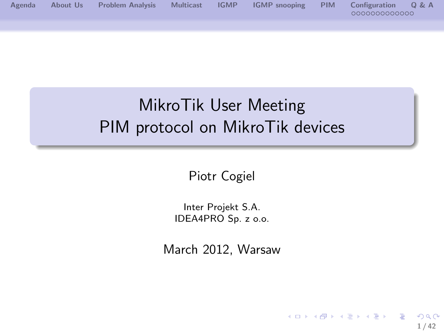

# MikroTik User Meeting PIM protocol on MikroTik devices

Piotr Cogiel

Inter Projekt S.A. IDEA4PRO Sp. z o.o.

March 2012, Warsaw

<span id="page-0-0"></span>**1 / 42**

 $QQ$ 

э

メロメ メ御 メメ きょくきょう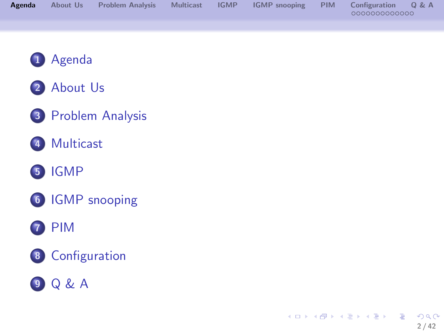| Agenda | About Us | <b>Problem Analysis</b> | <b>Multicast</b> | <b>IGMP</b> | <b>IGMP</b> snooping | <b>PIM</b> | Configuration | 0 & A |
|--------|----------|-------------------------|------------------|-------------|----------------------|------------|---------------|-------|
|        |          |                         |                  |             |                      |            | 000000000000  |       |
|        |          |                         |                  |             |                      |            |               |       |
|        |          |                         |                  |             |                      |            |               |       |
|        |          |                         |                  |             |                      |            |               |       |





- [Problem Analysis](#page-3-0)
- [Multicast](#page-4-0)

### [IGMP](#page-5-0)

[IGMP snooping](#page-6-0)

### [PIM](#page-16-0)

[Configuration](#page-25-0)

<span id="page-1-0"></span>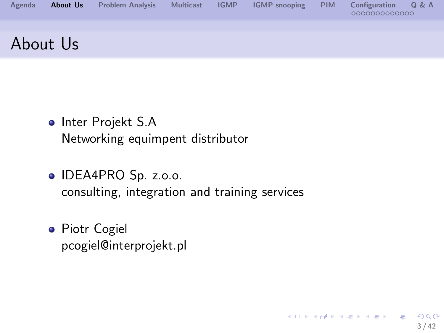

<span id="page-2-0"></span>**3 / 42**

 $2990$ 

э

メロメメ 倒 メメ きょくきょう

- Inter Projekt S.A Networking equimpent distributor
- O IDEA4PRO Sp. z.o.o. consulting, integration and training services
- **•** Piotr Cogiel pcogiel@interprojekt.pl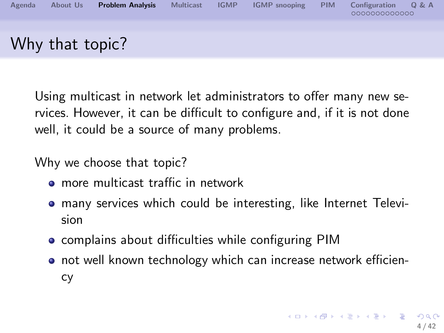

Using multicast in network let administrators to offer many new services. However, it can be difficult to configure and, if it is not done well, it could be a source of many problems.

Why we choose that topic?

- more multicast traffic in network
- many services which could be interesting, like Internet Television
- **•** complains about difficulties while configuring PIM
- <span id="page-3-0"></span>**o** not well known technology which can increase network efficiency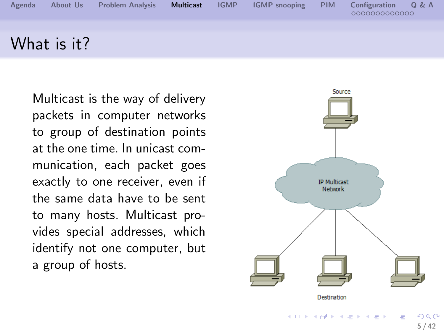

Multicast is the way of delivery packets in computer networks to group of destination points at the one time. In unicast communication, each packet goes exactly to one receiver, even if the same data have to be sent to many hosts. Multicast provides special addresses, which identify not one computer, but a group of hosts.

<span id="page-4-0"></span>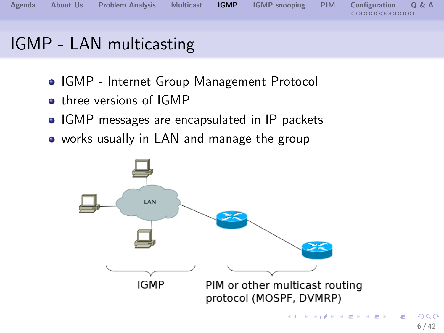

### IGMP - LAN multicasting

- IGMP Internet Group Management Protocol
- **o** three versions of IGMP
- IGMP messages are encapsulated in IP packets
- works usually in LAN and manage the group

<span id="page-5-0"></span>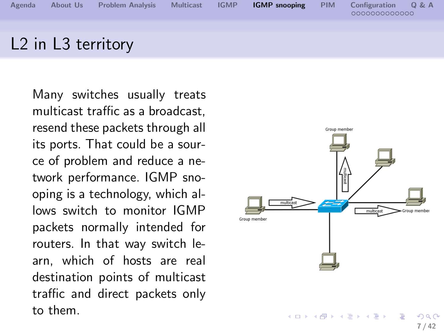

Many switches usually treats multicast traffic as a broadcast, resend these packets through all its ports. That could be a source of problem and reduce a network performance. IGMP snooping is a technology, which allows switch to monitor IGMP packets normally intended for routers. In that way switch learn, which of hosts are real destination points of multicast traffic and direct packets only to them.

<span id="page-6-0"></span>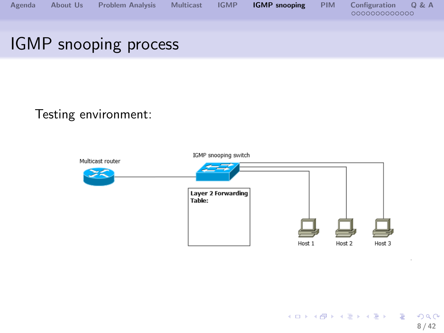

### IGMP snooping process

#### Testing environment:

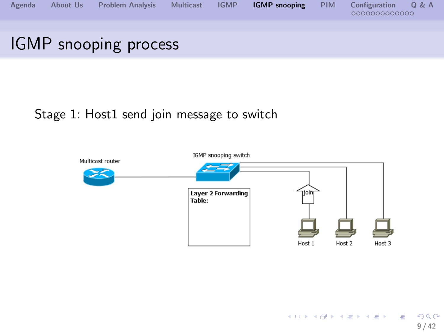

# IGMP snooping process

#### Stage 1: Host1 send join message to switch

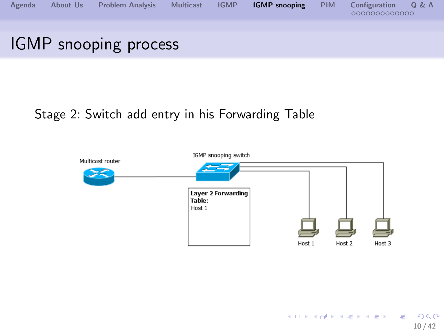

#### Stage 2: Switch add entry in his Forwarding Table

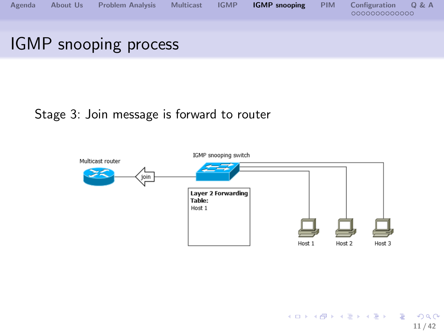

# Stage 3: Join message is forward to router

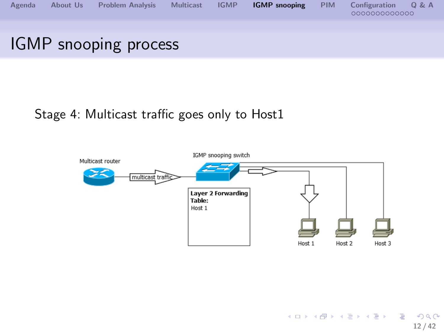

#### Stage 4: Multicast traffic goes only to Host1

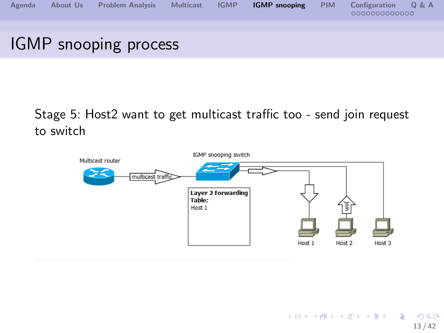

#### Stage 5: Host2 want to get multicast traffic too - send join request to switch

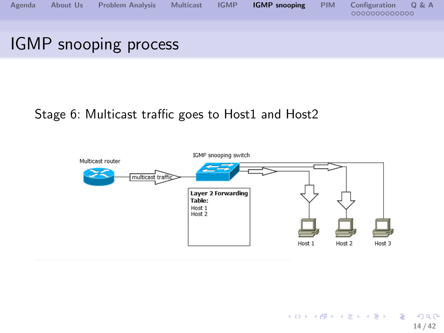

#### Stage 6: Multicast traffic goes to Host1 and Host2

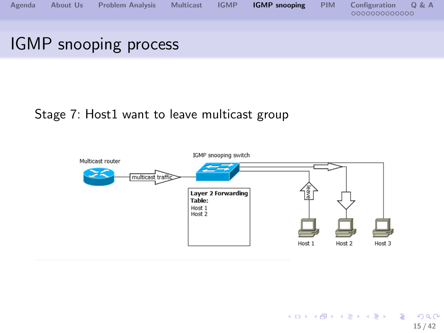

## Stage 7: Host1 want to leave multicast group

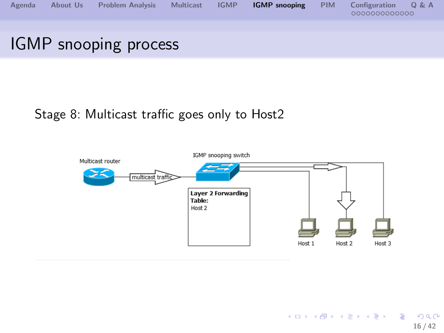

#### Stage 8: Multicast traffic goes only to Host2

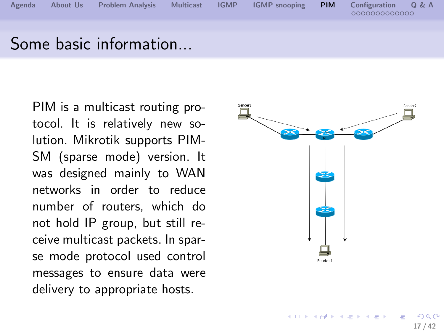

Some basic information...

PIM is a multicast routing protocol. It is relatively new solution. Mikrotik supports PIM-SM (sparse mode) version. It was designed mainly to WAN networks in order to reduce number of routers, which do not hold IP group, but still receive multicast packets. In sparse mode protocol used control messages to ensure data were delivery to appropriate hosts.



 $\left\{ \begin{array}{ccc} 1 & 0 & 0 \\ 0 & 1 & 0 \end{array} \right.$ 

<span id="page-16-0"></span>**17 / 42**

 $\Omega$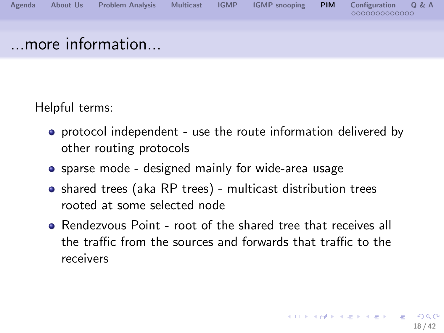

Helpful terms:

- **•** protocol independent use the route information delivered by other routing protocols
- sparse mode designed mainly for wide-area usage
- shared trees (aka RP trees) multicast distribution trees rooted at some selected node
- **•** Rendezvous Point root of the shared tree that receives all the traffic from the sources and forwards that traffic to the receivers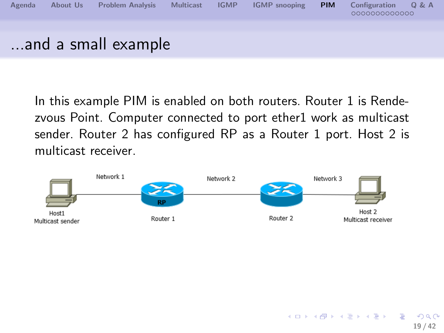

In this example PIM is enabled on both routers. Router 1 is Rendezvous Point. Computer connected to port ether1 work as multicast sender. Router 2 has configured RP as a Router 1 port. Host 2 is multicast receiver.

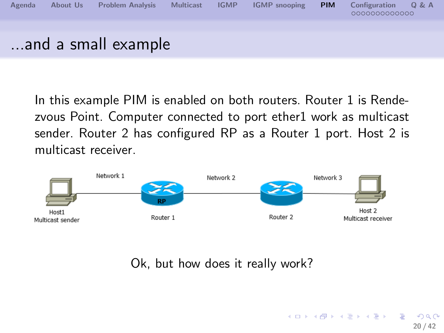

In this example PIM is enabled on both routers. Router 1 is Rendezvous Point. Computer connected to port ether1 work as multicast sender. Router 2 has configured RP as a Router 1 port. Host 2 is multicast receiver.



Ok, but how does it really work?

**20 / 42**

 $\Omega$ 

イロト イ押ト イヨト イヨト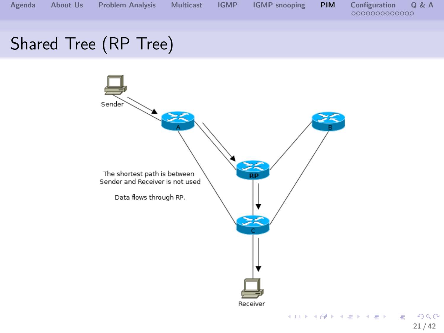

## Shared Tree (RP Tree)

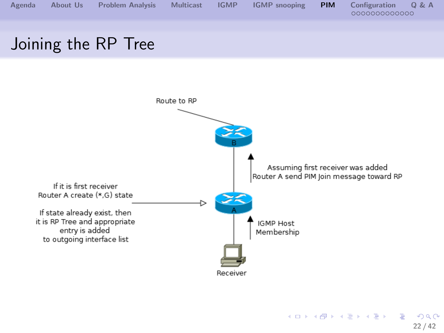

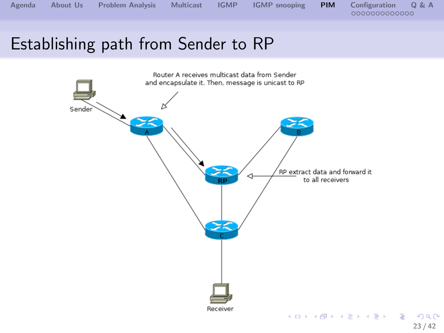**[Agenda](#page-1-0) [About Us](#page-2-0) [Problem Analysis](#page-3-0) [Multicast](#page-4-0) [IGMP](#page-5-0) [IGMP snooping](#page-6-0) [PIM](#page-16-0) [Configuration](#page-25-0) [Q & A](#page-39-0)**

## Establishing path from Sender to RP

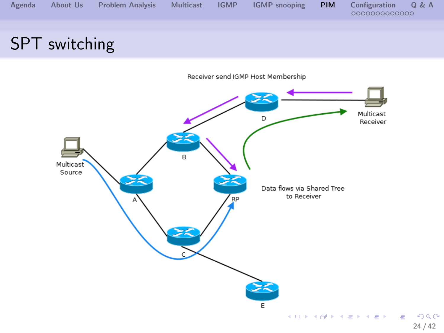

## SPT switching

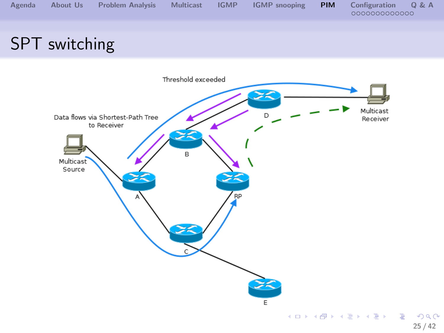

## SPT switching

<span id="page-24-0"></span>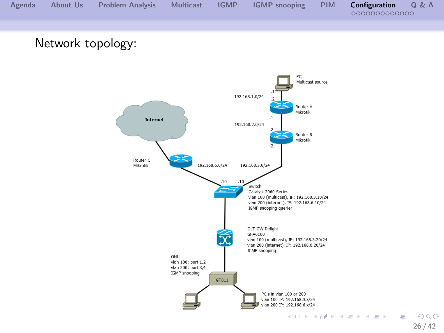

Network topology:



<span id="page-25-0"></span>**26 / 42**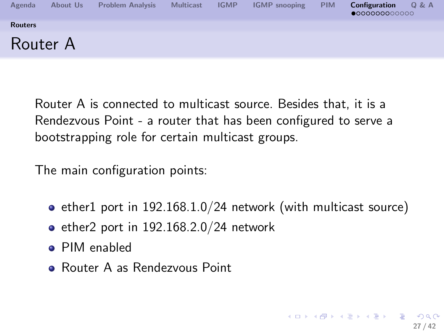

Router A is connected to multicast source. Besides that, it is a Rendezvous Point - a router that has been configured to serve a bootstrapping role for certain multicast groups.

The main configuration points:

- $\bullet$  ether1 port in 192.168.1.0/24 network (with multicast source)
- $\bullet$  ether2 port in 192.168.2.0/24 network
- PIM enabled
- <span id="page-26-0"></span>**• Router A as Rendezvous Point**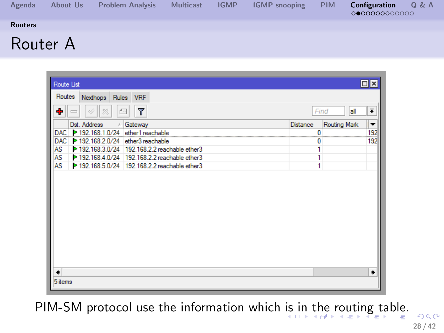| Agenda         | About Us | <b>Problem Analysis</b> | <b>Multicast</b> | <b>IGMP</b> | <b>IGMP</b> snooping | <b>PIM</b> | <b>Configuration</b><br>Q & A<br>000000000000 |
|----------------|----------|-------------------------|------------------|-------------|----------------------|------------|-----------------------------------------------|
| <b>Routers</b> |          |                         |                  |             |                      |            |                                               |
| Router A       |          |                         |                  |             |                      |            |                                               |

| Route List                                                 |   |              | $\Box$ x                 |
|------------------------------------------------------------|---|--------------|--------------------------|
| Routes                                                     |   |              |                          |
| Rules VRF<br>Nexthops                                      |   |              |                          |
| ٠<br>$\overline{\mathbb{Y}}$<br>Ä<br>33<br>Æ               |   | Find<br>all  | ∓                        |
| Dst. Address<br>Gateway<br><b>Distance</b><br>$\mathcal I$ |   | Routing Mark | $\overline{\phantom{a}}$ |
| DAC > 192.168.1.0/24 ether1 reachable                      | 0 |              | 192                      |
| 192.168.2.0/24 ether3 reachable<br><b>DAC</b>              | 0 |              | 192                      |
| 192.168.3.0/24 192.168.2.2 reachable ether3<br>AS          | 1 |              |                          |
| AS<br>192.168.4.0/24 192.168.2.2 reachable ether3          | 1 |              |                          |
| <b>AS</b><br>192.168.5.0/24 192.168.2.2 reachable ether3   | 1 |              |                          |
|                                                            |   |              |                          |
| ٠                                                          |   |              | ۰                        |
| 5 items                                                    |   |              |                          |

<span id="page-27-0"></span>PIM-SM protocol use the information which [is](#page-26-0) i[n](#page-24-0) [t](#page-38-0)[he](#page-27-0) [r](#page-28-0)[o](#page-25-0)[u](#page-26-0)[t](#page-33-0)[i](#page-34-0)n[g](#page-25-0) t[a](#page-39-0)[bl](#page-0-0)[e.](#page-41-0)  $299$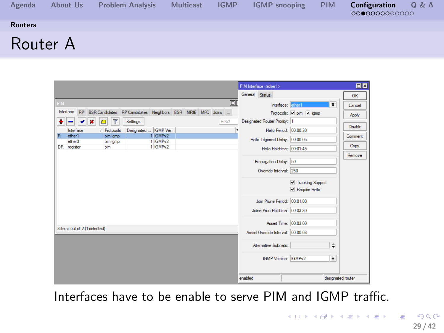| Agenda         | About Us | <b>Problem Analysis</b> | <b>Multicast</b> | <b>IGMP</b> | <b>IGMP</b> snooping | <b>PIM</b> | Configuration<br>0 & A<br>000000000000 |
|----------------|----------|-------------------------|------------------|-------------|----------------------|------------|----------------------------------------|
| <b>Routers</b> |          |                         |                  |             |                      |            |                                        |
| Router A       |          |                         |                  |             |                      |            |                                        |

|                                                                         | PIM Interface <ether1></ether1>     | 日区                |
|-------------------------------------------------------------------------|-------------------------------------|-------------------|
|                                                                         | General Status                      | OK                |
| o<br><b>PIM</b>                                                         | ∓<br>Interface: ether1              | Cancel            |
| Interface RP BSR Candidates RP Candidates Neighbors BSR MRIB MFC Joins  | Protocols: v pim v igmo             | Apply             |
| $\overline{\mathbb{r}}$<br>Find<br>Settings<br>$\pmb{\times}$<br>e<br>۰ | Designated Router Priority: 1       |                   |
| Designated  IGMP Ver<br>Interface<br>/ Protocols                        | Hello Period: 00:00:30              | Disable           |
| R<br>1 IGMPv2<br>ether1<br>pim igmp<br>1 IGMPv2<br>ether3               | Hello Trigerred Delay: 00:00:05     | Comment           |
| pim igmp<br>DR register<br>1 IGMPv2<br>pim                              | Hello Holdtime: 00:01:45            | Copy              |
|                                                                         |                                     | Remove            |
|                                                                         | Propagation Delay: 50               |                   |
|                                                                         | Override Interval: 250              |                   |
|                                                                         |                                     |                   |
|                                                                         | Tracking Support                    |                   |
|                                                                         | <b>V</b> Require Hello              |                   |
|                                                                         | Join Prune Period: 00:01:00         |                   |
|                                                                         | Joine Prun Holdtime: 00:03:30       |                   |
|                                                                         |                                     |                   |
| 3 items out of 2 (1 selected)                                           | Assert Time: 00:03:00               |                   |
|                                                                         | Assert Override Interval: 00:00:03  |                   |
|                                                                         | Atemative Subnets:<br>$\Rightarrow$ |                   |
|                                                                         | Ŧ<br>IGMP Version: IGMPv2           |                   |
|                                                                         | enabled                             | designated router |

<span id="page-28-0"></span>Interfaces have to be enable to serve PIM and IGMP traffic.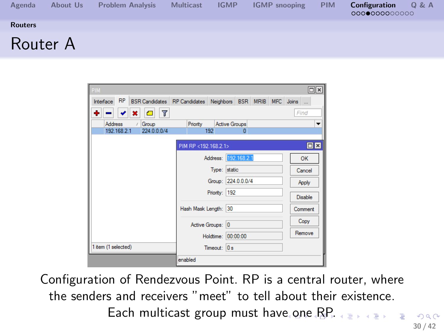| Agenda         | About Us | <b>Problem Analysis</b> | <b>Multicast</b> | <b>IGMP</b> | <b>IGMP</b> snooping | <b>PIM</b> | Q & A<br>Configuration<br>000000000000 |
|----------------|----------|-------------------------|------------------|-------------|----------------------|------------|----------------------------------------|
| <b>Routers</b> |          |                         |                  |             |                      |            |                                        |
| Router A       |          |                         |                  |             |                      |            |                                        |

| <b>PIM</b>                           |                                                           |                      | $\Box$ $\times$ |
|--------------------------------------|-----------------------------------------------------------|----------------------|-----------------|
| <b>RP</b><br>Interface               | BSR Candidates RP Candidates Neighbors BSR MRIB MFC Joins |                      |                 |
| 7<br>۰<br><b>All</b><br>×            |                                                           |                      | Find            |
| <b>Address</b><br>Group<br>$\lambda$ | Priority                                                  | <b>Active Groups</b> |                 |
| 192.168.2.1<br>224.0.0.0/4           | 192                                                       | $\bf{0}$             |                 |
|                                      | PIM RP <192.168.2.1>                                      |                      | $\Box$ x        |
|                                      | Address: 192.168.2.1                                      |                      | OK              |
|                                      | Type: static                                              |                      | Cancel          |
|                                      |                                                           | Group: 224.0.0.0/4   | Apply           |
|                                      | Priority: 192                                             |                      | Disable         |
|                                      | Hash Mask Length: 30                                      |                      | Comment         |
|                                      | Active Groups: 0                                          |                      | Copy            |
|                                      | Holdtime: 00:00:00                                        |                      | Remove          |
| 1 item (1 selected)                  | Timeout: 0s                                               |                      |                 |
|                                      | enabled                                                   |                      |                 |

<span id="page-29-0"></span>Configuration of Rendezvous Point. RP is a central router, where the senders and receivers "meet" to tell about their existence. Each multicast group must hav[e o](#page-28-0)[ne](#page-30-0)[RP](#page-29-0)[.](#page-30-0) **E**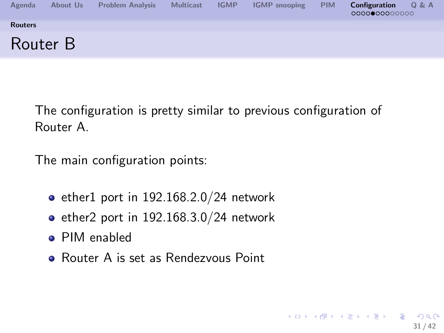

The configuration is pretty similar to previous configuration of Router A.

<span id="page-30-0"></span>**31 / 42**

G.  $\Omega$ 

メロメ メ御 トメ ミメ メ ミメー

The main configuration points:

- $\bullet$  ether1 port in 192.168.2.0/24 network
- $\bullet$  ether2 port in 192.168.3.0/24 network
- PIM enabled
- Router A is set as Rendezvous Point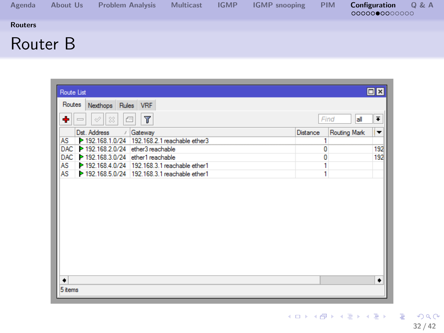| Agenda         | About Us | <b>Problem Analysis</b> | <b>Multicast</b> | <b>IGMP</b> | <b>IGMP</b> snooping | <b>PIM</b> | Configuration<br>Q & A<br>0000000000000 |
|----------------|----------|-------------------------|------------------|-------------|----------------------|------------|-----------------------------------------|
| <b>Routers</b> |          |                         |                  |             |                      |            |                                         |
| Router B       |          |                         |                  |             |                      |            |                                         |

<span id="page-31-0"></span>

| Route List                                                      |          |              | $\Box$ ×             |
|-----------------------------------------------------------------|----------|--------------|----------------------|
| Routes<br>Nexthops Rules VRF                                    |          |              |                      |
| ٠<br>$\overline{\mathbb{Y}}$<br>$\varphi$<br>$\frac{5}{6}$<br>Æ |          | all<br>Find  | $\overline{\bullet}$ |
| Dst. Address<br>/ Gateway                                       | Distance | Routing Mark | ▼                    |
| 192.168.1.0/24 192.168.2.1 reachable ether3<br>AS               |          |              |                      |
| 192.168.2.0/24 ether3 reachable<br><b>DAC</b>                   | 0        |              | 192                  |
| 192.168.3.0/24 ether1 reachable<br><b>DAC</b>                   | Ō        |              | 192                  |
| 192.168.4.0/24 192.168.3.1 reachable ether1<br>AS               | 1        |              |                      |
| 192.168.5.0/24 192.168.3.1 reachable ether1<br>AS               | Ĩ.       |              |                      |
|                                                                 |          |              |                      |
| ٠                                                               |          |              | ۰                    |
| 5 items                                                         |          |              |                      |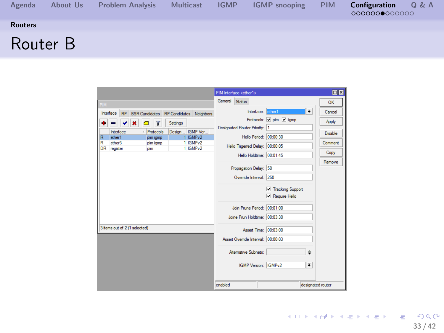| Agenda         | About Us | <b>Problem Analysis</b> | <b>Multicast</b> | <b>IGMP</b> | <b>IGMP</b> snooping | <b>PIM</b> | Q & A<br>Configuration<br>0000000000000 |
|----------------|----------|-------------------------|------------------|-------------|----------------------|------------|-----------------------------------------|
| <b>Routers</b> |          |                         |                  |             |                      |            |                                         |
| Router B       |          |                         |                  |             |                      |            |                                         |

<span id="page-32-0"></span>

|                     |                               |                                                     |                 |                      |                | PIM Interface <ether1></ether1>    |                          |                      | 回図                |
|---------------------|-------------------------------|-----------------------------------------------------|-----------------|----------------------|----------------|------------------------------------|--------------------------|----------------------|-------------------|
| <b>PIM</b>          |                               |                                                     |                 |                      | General Status |                                    |                          |                      | OK                |
|                     |                               | Interface RP BSR Candidates RP Candidates Neighbors |                 |                      |                |                                    | Interface: diner1        | $\overline{\bullet}$ | Cancel            |
| ۰                   |                               | Y<br>×<br>Θ                                         | Settings        |                      |                |                                    | Protocols: v pim v igmp  |                      | Apply             |
|                     | Interface                     | / Protocols                                         | Design IGMP Ver |                      |                | Designated Router Priority: 1      |                          |                      | Disable           |
| $\overline{R}$<br>R | ether1<br>ether3              | pim igmp                                            |                 | 1 IGMPv2<br>1 IGMPv2 |                |                                    | Hello Period: 00:00:30   |                      | Comment           |
|                     | DR register                   | pim igmp<br>olm                                     |                 | 1 IGMPv2             |                | Hello Trigerred Delay: 00:00:05    |                          |                      |                   |
|                     |                               |                                                     |                 |                      |                |                                    | Hello Holdtime: 00:01:45 |                      | Copy              |
|                     |                               |                                                     |                 |                      |                |                                    |                          |                      | Remove            |
|                     |                               |                                                     |                 |                      |                | Propagation Delay: 50              |                          |                      |                   |
|                     |                               |                                                     |                 |                      |                | Ovenide Interval: 250              |                          |                      |                   |
|                     |                               |                                                     |                 |                      |                |                                    | Tracking Support         |                      |                   |
|                     |                               |                                                     |                 |                      |                |                                    | <b>V</b> Require Hello   |                      |                   |
|                     |                               |                                                     |                 |                      |                | Join Prune Period: 00:01:00        |                          |                      |                   |
|                     |                               |                                                     |                 |                      |                | Joine Prun Holdtime: 00:03:30      |                          |                      |                   |
|                     |                               |                                                     |                 |                      |                |                                    |                          |                      |                   |
|                     | 3 items out of 2 (1 selected) |                                                     |                 |                      |                |                                    | Assert Time: 00:03:00    |                      |                   |
|                     |                               |                                                     |                 |                      |                | Assert Override Interval: 00:00:03 |                          |                      |                   |
|                     |                               |                                                     |                 |                      |                | Atemative Subnets:                 |                          | ÷                    |                   |
|                     |                               |                                                     |                 |                      |                |                                    | IGMP Version: IGMPv2     | $\overline{\bullet}$ |                   |
|                     |                               |                                                     |                 |                      |                |                                    |                          |                      |                   |
|                     |                               |                                                     |                 |                      | enabled        |                                    |                          |                      | designated router |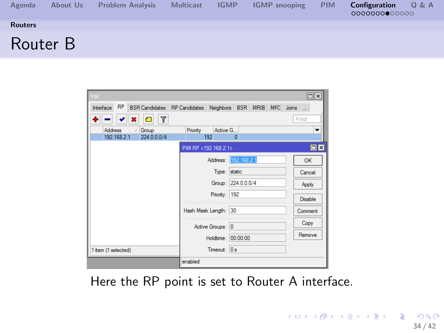| Agenda         | About Us | <b>Problem Analysis</b> | <b>Multicast</b> | <b>IGMP</b> | <b>IGMP</b> snooping | <b>PIM</b> | Configuration<br>Q & A<br>0000000000000 |
|----------------|----------|-------------------------|------------------|-------------|----------------------|------------|-----------------------------------------|
| <b>Routers</b> |          |                         |                  |             |                      |            |                                         |
| Router B       |          |                         |                  |             |                      |            |                                         |

| PIM                                  |                      |                                                           | ok             |
|--------------------------------------|----------------------|-----------------------------------------------------------|----------------|
| RP<br>Interface                      |                      | BSR Candidates RP Candidates Neighbors BSR MRIB MFC Joins |                |
| Y<br>٠<br>Æ<br>×                     |                      |                                                           | Find           |
| <b>Address</b><br>Group<br>$\lambda$ | Priority<br>Active G |                                                           | ▼              |
| 192.168.2.1<br>224.0.0.0/4           | 192                  | $\overline{0}$                                            |                |
|                                      | PIM RP <192.168.2.1> |                                                           | $\Box$  x      |
|                                      |                      | Address: 192.168.2.1                                      | OK             |
|                                      | Type: static         |                                                           | Cancel         |
|                                      |                      | Group: 224.0.0.0/4                                        | Apply          |
|                                      | Priority: 192        |                                                           | <b>Disable</b> |
|                                      | Hash Mask Length: 30 |                                                           | Comment        |
|                                      | Active Groups: 0     |                                                           | Copy           |
|                                      | Holdtime: 00:00:00   |                                                           | Remove         |
| 1 item (1 selected)                  | Timeout: 0 s         |                                                           |                |
|                                      | enabled              |                                                           |                |

<span id="page-33-0"></span>Here the RP point is set to Router A interface.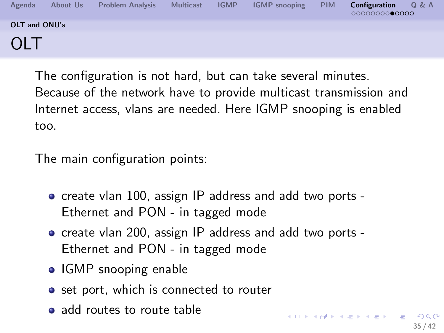| Agenda        | About Us | <b>Problem Analysis</b> | <b>Multicast</b> | <b>IGMP</b> | <b>IGMP</b> snooping | <b>PIM</b> | Configuration<br>Q & A<br>0000000000000 |
|---------------|----------|-------------------------|------------------|-------------|----------------------|------------|-----------------------------------------|
| OLT and ONU's |          |                         |                  |             |                      |            |                                         |
| OLT           |          |                         |                  |             |                      |            |                                         |

The configuration is not hard, but can take several minutes. Because of the network have to provide multicast transmission and Internet access, vlans are needed. Here IGMP snooping is enabled too.

The main configuration points:

- create vlan 100, assign IP address and add two ports -Ethernet and PON - in tagged mode
- create vlan 200, assign IP address and add two ports -Ethernet and PON - in tagged mode
- IGMP snooping enable
- **•** set port, which is connected to router
- <span id="page-34-0"></span>• add routes to route table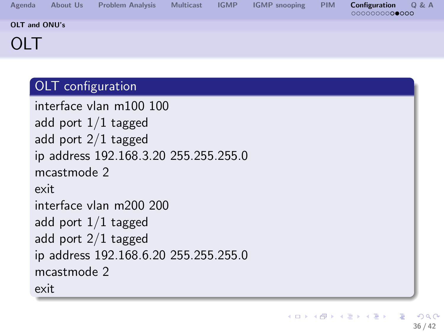| Agenda        | About Us | <b>Problem Analysis</b> | <b>Multicast</b> | <b>IGMP</b> | <b>IGMP</b> snooping | <b>PIM</b> | Configuration<br>0 & A<br>0000000000000 |
|---------------|----------|-------------------------|------------------|-------------|----------------------|------------|-----------------------------------------|
| OLT and ONU's |          |                         |                  |             |                      |            |                                         |
| OLT           |          |                         |                  |             |                      |            |                                         |

#### OLT configuration

```
interface vlan m100 100
add port 1/1 tagged
add port 2/1 tagged
ip address 192.168.3.20 255.255.255.0
mcastmode 2
exit
interface vlan m200 200
add port 1/1 tagged
add port 2/1 tagged
ip address 192.168.6.20 255.255.255.0
mcastmode 2
exit
```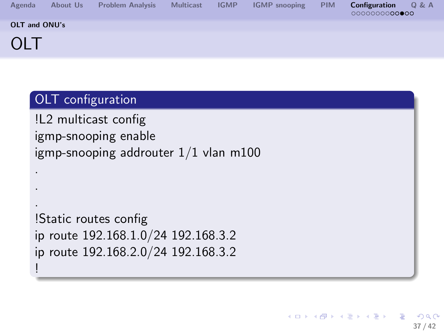| Agenda        | About Us | <b>Problem Analysis</b> | <b>Multicast</b> | <b>IGMP</b> | <b>IGMP</b> snooping | <b>PIM</b> | Configuration<br>0 & A<br>0000000000000 |
|---------------|----------|-------------------------|------------------|-------------|----------------------|------------|-----------------------------------------|
| OLT and ONU's |          |                         |                  |             |                      |            |                                         |
| OLT           |          |                         |                  |             |                      |            |                                         |

#### OLT configuration

. . .

<span id="page-36-0"></span>!

!L2 multicast config igmp-snooping enable igmp-snooping addrouter 1/1 vlan m100

```
!Static routes config
ip route 192.168.1.0/24 192.168.3.2
ip route 192.168.2.0/24 192.168.3.2
```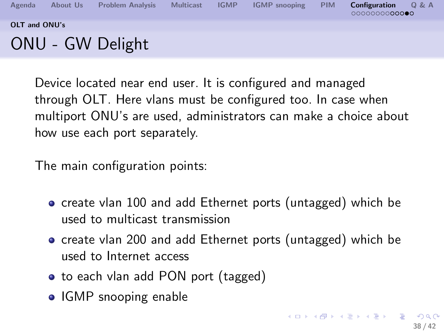

Device located near end user. It is configured and managed through OLT. Here vlans must be configured too. In case when multiport ONU's are used, administrators can make a choice about how use each port separately.

The main configuration points:

- create vlan 100 and add Ethernet ports (untagged) which be used to multicast transmission
- create vlan 200 and add Ethernet ports (untagged) which be used to Internet access
- to each vlan add PON port (tagged)
- <span id="page-37-0"></span>• IGMP snooping enable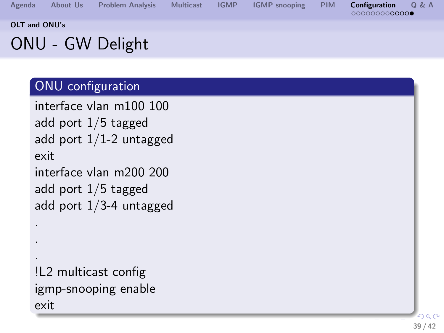**[Agenda](#page-1-0) [About Us](#page-2-0) [Problem Analysis](#page-3-0) [Multicast](#page-4-0) [IGMP](#page-5-0) [IGMP snooping](#page-6-0) [PIM](#page-16-0) [Configuration](#page-25-0) [Q & A](#page-39-0) [OLT and ONU's](#page-38-0)** ONU - GW Delight

#### ONU configuration

```
interface vlan m100 100
add port 1/5 tagged
add port 1/1-2 untagged
exit
interface vlan m200 200
add port 1/5 tagged
add port 1/3-4 untagged
.
```
<span id="page-38-0"></span>!L2 multicast config igmp-snooping enable exit

. .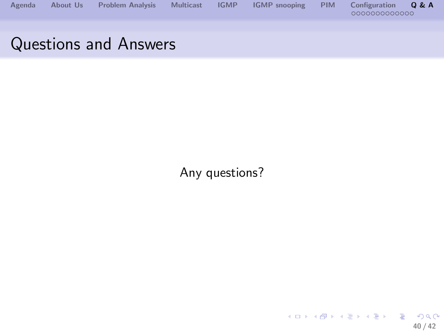

### Questions and Answers

Any questions?

<span id="page-39-0"></span>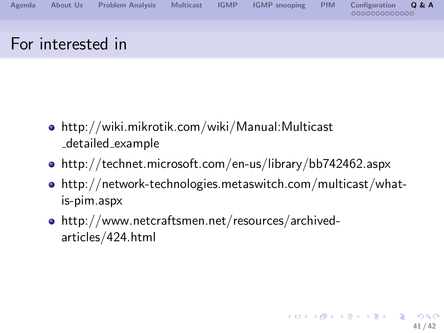

- http://wiki.mikrotik.com/wiki/Manual:Multicast detailed example
- http://technet.microsoft.com/en-us/library/bb742462.aspx
- http://network-technologies.metaswitch.com/multicast/whatis-pim.aspx
- http://www.netcraftsmen.net/resources/archivedarticles/424.html